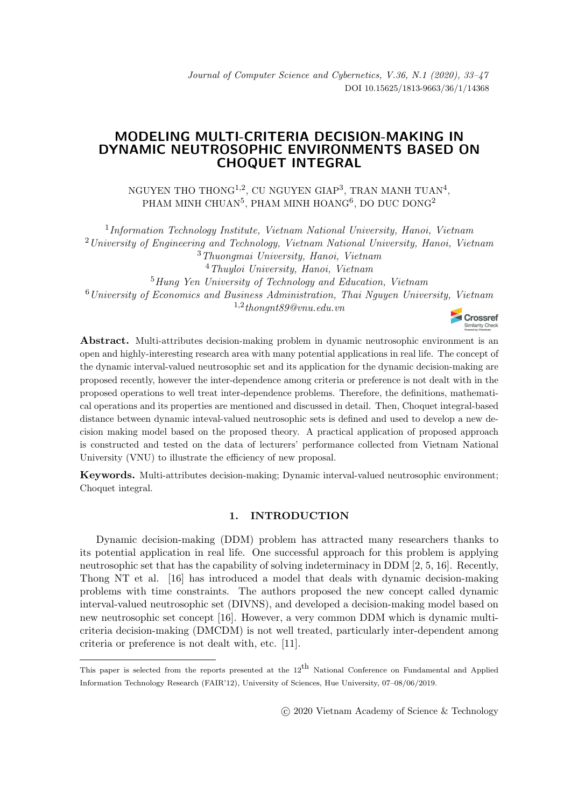# MODELING MULTI-CRITERIA DECISION-MAKING IN DYNAMIC NEUTROSOPHIC ENVIRONMENTS BASED ON CHOQUET INTEGRAL

NGUYEN THO THONG $^{1,2},$  CU NGUYEN GIAP $^3,$  TRAN MANH TUAN $^4,$ PHAM MINH CHUAN $^{5}$ , PHAM MINH HOANG $^{6}$ , DO DUC DONG $^{2}$ 

<sup>1</sup>Information Technology Institute, Vietnam National University, Hanoi, Vietnam <sup>2</sup>University of Engineering and Technology, Vietnam National University, Hanoi, Vietnam <sup>3</sup>Thuongmai University, Hanoi, Vietnam <sup>4</sup>Thuyloi University, Hanoi, Vietnam <sup>5</sup>Hung Yen University of Technology and Education, Vietnam  $6$ University of Economics and Business Administration, Thai Nguyen University, Vietnam  $1,2$  thongnt  $89@vnu.edu.vn$ 



Abstract. Multi-attributes decision-making problem in dynamic neutrosophic environment is an open and highly-interesting research area with many potential applications in real life. The concept of the dynamic interval-valued neutrosophic set and its application for the dynamic decision-making are proposed recently, however the inter-dependence among criteria or preference is not dealt with in the proposed operations to well treat inter-dependence problems. Therefore, the definitions, mathematical operations and its properties are mentioned and discussed in detail. Then, Choquet integral-based distance between dynamic inteval-valued neutrosophic sets is defined and used to develop a new decision making model based on the proposed theory. A practical application of proposed approach is constructed and tested on the data of lecturers' performance collected from Vietnam National University (VNU) to illustrate the efficiency of new proposal.

Keywords. Multi-attributes decision-making; Dynamic interval-valued neutrosophic environment; Choquet integral.

## 1. INTRODUCTION

Dynamic decision-making (DDM) problem has attracted many researchers thanks to its potential application in real life. One successful approach for this problem is applying neutrosophic set that has the capability of solving indeterminacy in DDM [\[2,](#page-13-0) [5,](#page-13-1) [16\]](#page-14-0). Recently, Thong NT et al. [\[16\]](#page-14-0) has introduced a model that deals with dynamic decision-making problems with time constraints. The authors proposed the new concept called dynamic interval-valued neutrosophic set (DIVNS), and developed a decision-making model based on new neutrosophic set concept [\[16\]](#page-14-0). However, a very common DDM which is dynamic multicriteria decision-making (DMCDM) is not well treated, particularly inter-dependent among criteria or preference is not dealt with, etc. [\[11\]](#page-13-2).

This paper is selected from the reports presented at the  $12^{th}$  National Conference on Fundamental and Applied Information Technology Research (FAIR'12), University of Sciences, Hue University, 07–08/06/2019.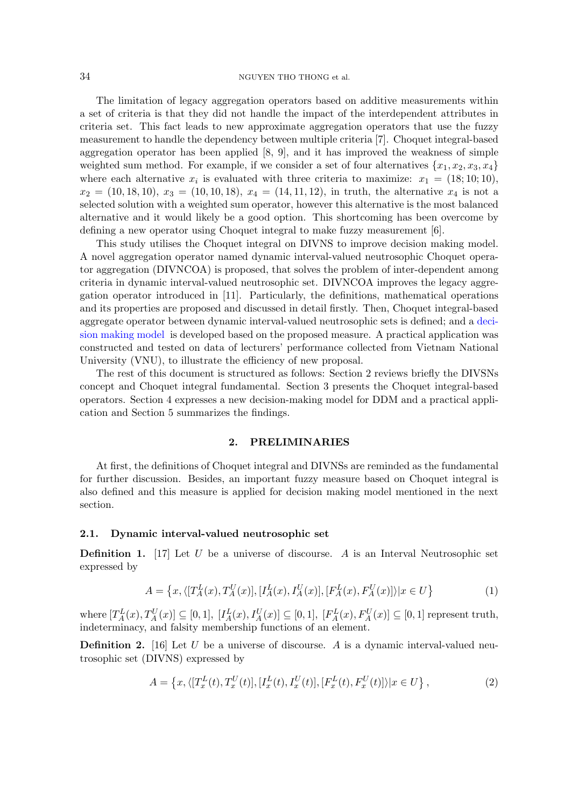#### 34 NGUYEN THO THONG et al.

The limitation of legacy aggregation operators based on additive measurements within a set of criteria is that they did not handle the impact of the interdependent attributes in criteria set. This fact leads to new approximate aggregation operators that use the fuzzy measurement to handle the dependency between multiple criteria [\[7\]](#page-13-3). Choquet integral-based aggregation operator has been applied  $[8, 9]$  $[8, 9]$ , and it has improved the weakness of simple weighted sum method. For example, if we consider a set of four alternatives  $\{x_1, x_2, x_3, x_4\}$ where each alternative  $x_i$  is evaluated with three criteria to maximize:  $x_1 = (18; 10; 10)$ ,  $x_2 = (10, 18, 10), x_3 = (10, 10, 18), x_4 = (14, 11, 12),$  in truth, the alternative  $x_4$  is not a selected solution with a weighted sum operator, however this alternative is the most balanced alternative and it would likely be a good option. This shortcoming has been overcome by defining a new operator using Choquet integral to make fuzzy measurement [\[6\]](#page-13-6).

This study utilises the Choquet integral on DIVNS to improve decision making model. A novel aggregation operator named dynamic interval-valued neutrosophic Choquet operator aggregation (DIVNCOA) is proposed, that solves the problem of inter-dependent among criteria in dynamic interval-valued neutrosophic set. DIVNCOA improves the legacy aggregation operator introduced in [11]. Particularly, the definitions, mathematical operations and its properties are proposed and discussed in detail firstly. Then, Choquet integral-based aggregate operator between dynamic interval-valued neutrosophic sets is defined; and a decision making model is developed based on the proposed measure. A practical application was constructed and tested on data of lecturers' performance collected from Vietnam National University (VNU), to illustrate the efficiency of new proposal.

The rest of this document is structured as follows: Section 2 reviews briefly the DIVSNs concept and Choquet integral fundamental. Section 3 presents the Choquet integral-based operators. Section 4 expresses a new decision-making model for DDM and a practical application and Section 5 summarizes the findings.

### 2. PRELIMINARIES

At first, the definitions of Choquet integral and DIVNSs are reminded as the fundamental for further discussion. Besides, an important fuzzy measure based on Choquet integral is also defined and this measure is applied for decision making model mentioned in the next section.

## 2.1. Dynamic interval-valued neutrosophic set

**Definition 1.** [\[17\]](#page-14-1) Let U be a universe of discourse. A is an Interval Neutrosophic set expressed by

$$
A = \left\{ x, \langle [T_A^L(x), T_A^U(x)], [I_A^L(x), I_A^U(x)], [F_A^L(x), F_A^U(x)] \rangle | x \in U \right\}
$$
(1)

where  $[T_A^L(x), T_A^U(x)] \subseteq [0,1]$ ,  $[I_A^L(x), I_A^U(x)] \subseteq [0,1]$ ,  $[F_A^L(x), F_A^U(x)] \subseteq [0,1]$  represent truth, indeterminacy, and falsity membership functions of an element.

**Definition 2.** [\[16\]](#page-14-0) Let U be a universe of discourse. A is a dynamic interval-valued neutrosophic set (DIVNS) expressed by

$$
A = \left\{ x, \langle [T_x^L(t), T_x^U(t)], [I_x^L(t), I_x^U(t)], [F_x^L(t), F_x^U(t)] \rangle | x \in U \right\},\tag{2}
$$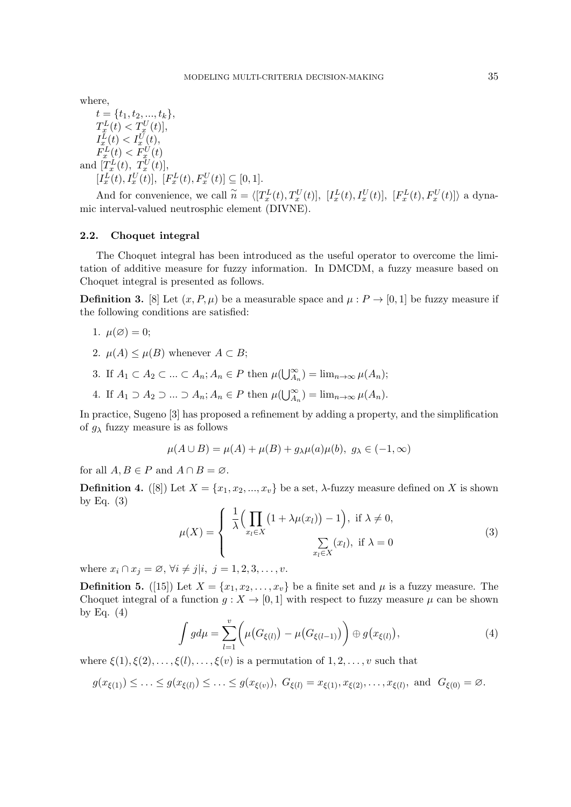where,

 $t = \{t_1, t_2, ..., t_k\},\$  $T_{x}^{L}(t) < T_{x}^{U}(t)$ ,  $I_x^L(t) < I_x^U(t),$  $F_x^L(t) < F_{x_-}^U(t)$ and  $[T_x^L(t), T_x^U(t)],$  $[I_x^L(t), I_x^U(t)], [F_x^L(t), F_x^U(t)] \subseteq [0, 1].$ 

And for convenience, we call  $\widetilde{n} = \langle [T_x^L(t), T_x^U(t)], [I_x^L(t), I_x^U(t)], [F_x^L(t), F_x^U(t)] \rangle$  a dynamic interval-valued neutrosphic element (DIVNE).

### <span id="page-2-0"></span>2.2. Choquet integral

The Choquet integral has been introduced as the useful operator to overcome the limitation of additive measure for fuzzy information. In DMCDM, a fuzzy measure based on Choquet integral is presented as follows.

**Definition 3.** [\[8\]](#page-13-4) Let  $(x, P, \mu)$  be a measurable space and  $\mu : P \to [0, 1]$  be fuzzy measure if the following conditions are satisfied:

1. 
$$
\mu(\varnothing) = 0;
$$

- 2.  $\mu(A) \leq \mu(B)$  whenever  $A \subset B$ ;
- 3. If  $A_1 \subset A_2 \subset ... \subset A_n$ ;  $A_n \in P$  then  $\mu(\bigcup_{A_n}^{\infty}) = \lim_{n \to \infty} \mu(A_n)$ ;
- 4. If  $A_1 \supset A_2 \supset ... \supset A_n$ ;  $A_n \in P$  then  $\mu(\bigcup_{A_n}^{\infty}) = \lim_{n \to \infty} \mu(A_n)$ .

In practice, Sugeno [\[3\]](#page-13-7) has proposed a refinement by adding a property, and the simplification of  $g_{\lambda}$  fuzzy measure is as follows

$$
\mu(A \cup B) = \mu(A) + \mu(B) + g_{\lambda}\mu(a)\mu(b), \ g_{\lambda} \in (-1, \infty)
$$

for all  $A, B \in P$  and  $A \cap B = \emptyset$ .

**Definition 4.** ([\[8\]](#page-13-4)) Let  $X = \{x_1, x_2, ..., x_v\}$  be a set,  $\lambda$ -fuzzy measure defined on X is shown by Eq.  $(3)$ 

$$
\mu(X) = \begin{cases} \frac{1}{\lambda} \Big( \prod_{x_l \in X} \big( 1 + \lambda \mu(x_l) \big) - 1 \Big), & \text{if } \lambda \neq 0, \\ \sum_{x_l \in X} (x_l), & \text{if } \lambda = 0 \end{cases}
$$
 (3)

where  $x_i \cap x_j = \emptyset$ ,  $\forall i \neq j | i, j = 1, 2, 3, \ldots, v$ .

**Definition 5.** ([\[15\]](#page-13-8)) Let  $X = \{x_1, x_2, \ldots, x_v\}$  be a finite set and  $\mu$  is a fuzzy measure. The Choquet integral of a function  $g: X \to [0, 1]$  with respect to fuzzy measure  $\mu$  can be shown by Eq.  $(4)$ 

$$
\int g d\mu = \sum_{l=1}^{v} \left( \mu(G_{\xi(l)}) - \mu(G_{\xi(l-1)}) \right) \oplus g(x_{\xi(l)}), \tag{4}
$$

where  $\xi(1), \xi(2), \ldots, \xi(l), \ldots, \xi(v)$  is a permutation of  $1, 2, \ldots, v$  such that

$$
g(x_{\xi(1)}) \leq \ldots \leq g(x_{\xi(l)}) \leq \ldots \leq g(x_{\xi(v)}), \ G_{\xi(l)} = x_{\xi(1)}, x_{\xi(2)}, \ldots, x_{\xi(l)}, \text{ and } G_{\xi(0)} = \emptyset.
$$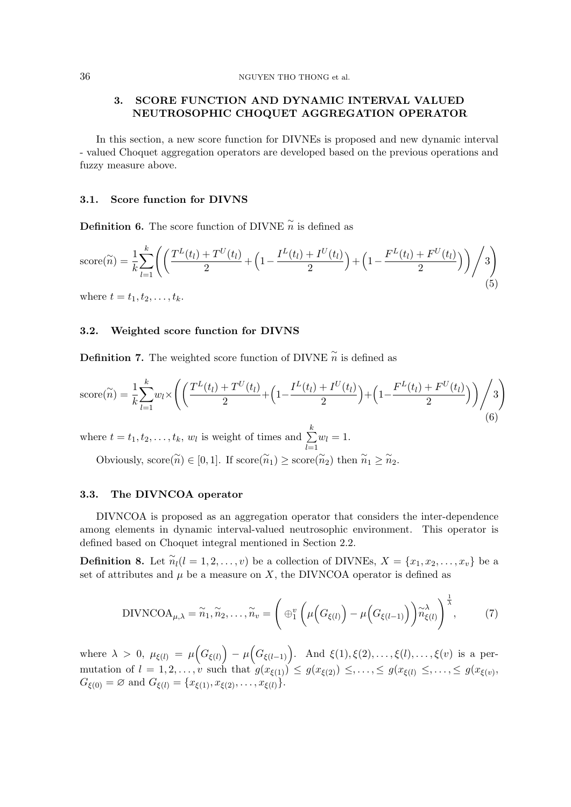## 3. SCORE FUNCTION AND DYNAMIC INTERVAL VALUED NEUTROSOPHIC CHOQUET AGGREGATION OPERATOR

In this section, a new score function for DIVNEs is proposed and new dynamic interval - valued Choquet aggregation operators are developed based on the previous operations and fuzzy measure above.

## 3.1. Score function for DIVNS

**Definition 6.** The score function of DIVNE  $\widetilde{n}$  is defined as

score(
$$
\tilde{n}
$$
) =  $\frac{1}{k} \sum_{l=1}^{k} \left( \left( \frac{T^{L}(t_l) + T^{U}(t_l)}{2} + \left( 1 - \frac{I^{L}(t_l) + I^{U}(t_l)}{2} \right) + \left( 1 - \frac{F^{L}(t_l) + F^{U}(t_l)}{2} \right) \right) / 3 \right)$ (5)

where  $t = t_1, t_2, \ldots, t_k$ .

## 3.2. Weighted score function for DIVNS

Definition 7. The weighted score function of DIVNE  $\widetilde{n}$  is defined as

score(
$$
\tilde{n}
$$
) =  $\frac{1}{k} \sum_{l=1}^{k} w_l \times \left( \left( \frac{T^L(t_l) + T^U(t_l)}{2} + \left( 1 - \frac{I^L(t_l) + I^U(t_l)}{2} \right) + \left( 1 - \frac{F^L(t_l) + F^U(t_l)}{2} \right) \right) / 3 \right)$  (6)

where  $t = t_1, t_2, \ldots, t_k, w_l$  is weight of times and  $\sum_{k=1}^{k}$  $_{l=1}$  $w_l = 1.$ 

Obviously,  $\text{score}(\widetilde{n}) \in [0, 1]$ . If  $\text{score}(\widetilde{n}_1) \ge \text{score}(\widetilde{n}_2)$  then  $\widetilde{n}_1 \ge \widetilde{n}_2$ .

#### 3.3. The DIVNCOA operator

DIVNCOA is proposed as an aggregation operator that considers the inter-dependence among elements in dynamic interval-valued neutrosophic environment. This operator is defined based on Choquet integral mentioned in Section [2.2.](#page-2-0)

**Definition 8.** Let  $\widetilde{n}_l(l = 1, 2, \ldots, v)$  be a collection of DIVNEs,  $X = \{x_1, x_2, \ldots, x_v\}$  be a set of attributes and  $\mu$  be a measure on X, the DIVNCOA operator is defined as

$$
\text{DIVNCOA}_{\mu,\lambda} = \widetilde{n}_1, \widetilde{n}_2, \dots, \widetilde{n}_v = \left( \bigoplus_1^v \left( \mu\Big(G_{\xi(l)}\Big) - \mu\Big(G_{\xi(l-1)}\Big) \right) \widetilde{n}_{\xi(l)}^{\lambda} \right)^{\frac{1}{\lambda}},\tag{7}
$$

where  $\lambda > 0$ ,  $\mu_{\xi(l)} = \mu\big(G_{\xi(l)}\big) - \mu\big(G_{\xi(l-1)}\big)$ . And  $\xi(1), \xi(2), \ldots, \xi(l), \ldots, \xi(v)$  is a permutation of  $l = 1, 2, \ldots, v$  such that  $g(x_{\xi(1)}) \leq g(x_{\xi(2)}) \leq, \ldots, \leq g(x_{\xi(l)}) \leq, \ldots, \leq g(x_{\xi(v)})$  $G_{\xi(0)} = \emptyset$  and  $G_{\xi(l)} = \{x_{\xi(1)}, x_{\xi(2)}, \ldots, x_{\xi(l)}\}.$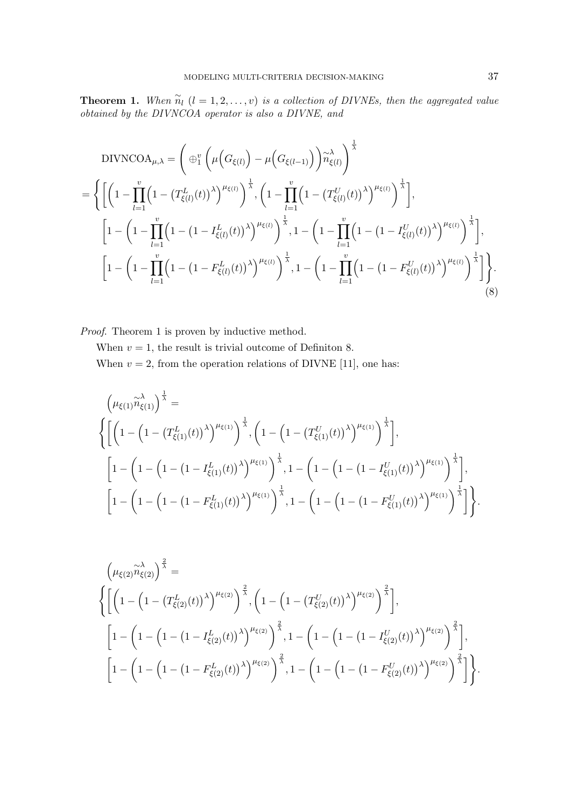**Theorem 1.** When  $\widetilde{n}_l$   $(l = 1, 2, ..., v)$  is a collection of DIVNEs, then the aggregated value obtained by the DIVNCOA operator is also a DIVNE, and

$$
\text{DIVNCOA}_{\mu,\lambda} = \left( \bigoplus_{i=1}^{v} \left( \mu \Big( G_{\xi(l)} \Big) - \mu \Big( G_{\xi(l-1)} \Big) \right) \widetilde{n}_{\xi(l)}^{\lambda} \right)^{\frac{1}{\lambda}}
$$
\n
$$
= \left\{ \left[ \left( 1 - \prod_{l=1}^{v} \Big( 1 - \big( T_{\xi(l)}^{L}(t) \big)^{\lambda} \Big)^{\mu_{\xi(l)}} \right)^{\frac{1}{\lambda}}, \left( 1 - \prod_{l=1}^{v} \Big( 1 - \big( T_{\xi(l)}^{U}(t) \big)^{\lambda} \Big)^{\mu_{\xi(l)}} \right)^{\frac{1}{\lambda}} \right],
$$
\n
$$
\left[ 1 - \left( 1 - \prod_{l=1}^{v} \Big( 1 - \big( 1 - I_{\xi(l)}^{L}(t) \big)^{\lambda} \Big)^{\mu_{\xi(l)}} \right)^{\frac{1}{\lambda}}, 1 - \left( 1 - \prod_{l=1}^{v} \Big( 1 - \big( 1 - I_{\xi(l)}^{U}(t) \big)^{\lambda} \Big)^{\mu_{\xi(l)}} \right)^{\frac{1}{\lambda}} \right],
$$
\n
$$
\left[ 1 - \left( 1 - \prod_{l=1}^{v} \Big( 1 - \big( 1 - F_{\xi(l)}^{L}(t) \big)^{\lambda} \Big)^{\mu_{\xi(l)}} \right)^{\frac{1}{\lambda}}, 1 - \left( 1 - \prod_{l=1}^{v} \Big( 1 - \big( 1 - F_{\xi(l)}^{U}(t) \big)^{\lambda} \Big)^{\mu_{\xi(l)}} \right)^{\frac{1}{\lambda}} \right] \right\}.
$$
\n(8)

Proof. Theorem 1 is proven by inductive method.

When  $v = 1$ , the result is trivial outcome of Definiton 8. When  $v = 2$ , from the operation relations of DIVNE [11], one has:

$$
\left(\mu_{\xi(1)}\widetilde{n}_{\xi(1)}\right)^{\frac{1}{\lambda}} = \left\{ \left[ \left(1 - \left(1 - \left(T_{\xi(1)}^{L}(t)\right)^{\lambda}\right)^{\mu_{\xi(1)}}\right)^{\frac{1}{\lambda}}, \left(1 - \left(1 - \left(T_{\xi(1)}^{U}(t)\right)^{\lambda}\right)^{\mu_{\xi(1)}}\right)^{\frac{1}{\lambda}} \right], \right. \\ \left. \left[\left(1 - \left(1 - \left(1 - \left(I - T_{\xi(1)}^{L}(t)\right)^{\lambda}\right)^{\mu_{\xi(1)}}\right)^{\frac{1}{\lambda}}, 1 - \left(1 - \left(1 - \left(1 - T_{\xi(1)}^{U}(t)\right)^{\lambda}\right)^{\mu_{\xi(1)}}\right)^{\frac{1}{\lambda}} \right], \right. \\ \left. \left[\left(1 - \left(1 - \left(1 - \left(T_{\xi(1)}^{L}(t)\right)^{\lambda}\right)^{\mu_{\xi(1)}}\right)^{\frac{1}{\lambda}}, 1 - \left(1 - \left(1 - \left(1 - T_{\xi(1)}^{U}(t)\right)^{\lambda}\right)^{\mu_{\xi(1)}}\right)^{\frac{1}{\lambda}}\right] \right\} \right\}.
$$

$$
\left(\mu_{\xi(2)}\widetilde{n}_{\xi(2)}\right)^{\frac{2}{\lambda}} = \left\{ \left[ \left(1 - \left(1 - \left(T_{\xi(2)}^{L}(t)\right)^{\lambda}\right)^{\mu_{\xi(2)}}\right)^{\frac{2}{\lambda}}, \left(1 - \left(1 - \left(T_{\xi(2)}^{U}(t)\right)^{\lambda}\right)^{\mu_{\xi(2)}}\right)^{\frac{2}{\lambda}} \right], \right. \\ \left. \left[\left(1 - \left(1 - \left(1 - \left(1 - I_{\xi(2)}^{L}(t)\right)^{\lambda}\right)^{\mu_{\xi(2)}}\right)^{\frac{2}{\lambda}}, 1 - \left(1 - \left(1 - \left(1 - I_{\xi(2)}^{U}(t)\right)^{\lambda}\right)^{\mu_{\xi(2)}}\right)^{\frac{2}{\lambda}} \right], \right. \\ \left. \left[\left(1 - \left(1 - \left(1 - \left(I - F_{\xi(2)}^{L}(t)\right)^{\lambda}\right)^{\mu_{\xi(2)}}\right)^{\frac{2}{\lambda}}, 1 - \left(1 - \left(1 - \left(1 - F_{\xi(2)}^{U}(t)\right)^{\lambda}\right)^{\mu_{\xi(2)}}\right)^{\frac{2}{\lambda}}\right] \right\} \right].
$$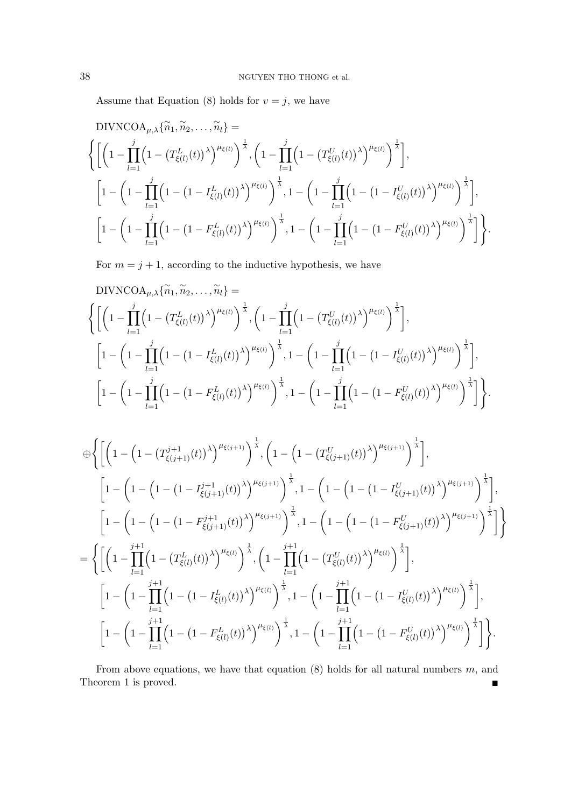Assume that Equation (8) holds for  $v = j$ , we have

DIVNCOA<sub>$$
\mu, \lambda
$$</sub>{ $\tilde{n}_1, \tilde{n}_2, \ldots, \tilde{n}_l$ } =

\n
$$
\left\{ \left[ \left( 1 - \prod_{l=1}^j \left( 1 - \left( T_{\xi(l)}^L(t) \right)^{\lambda} \right)^{\mu_{\xi(l)}} \right)^{\frac{1}{\lambda}}, \left( 1 - \prod_{l=1}^j \left( 1 - \left( T_{\xi(l)}^U(t) \right)^{\lambda} \right)^{\mu_{\xi(l)}} \right)^{\frac{1}{\lambda}} \right],
$$
\n
$$
\left[ 1 - \left( 1 - \prod_{l=1}^j \left( 1 - \left( 1 - I_{\xi(l)}^L(t) \right)^{\lambda} \right)^{\mu_{\xi(l)}} \right)^{\frac{1}{\lambda}}, 1 - \left( 1 - \prod_{l=1}^j \left( 1 - \left( 1 - I_{\xi(l)}^U(t) \right)^{\lambda} \right)^{\mu_{\xi(l)}} \right)^{\frac{1}{\lambda}} \right],
$$
\n
$$
\left[ 1 - \left( 1 - \prod_{l=1}^j \left( 1 - \left( 1 - F_{\xi(l)}^L(t) \right)^{\lambda} \right)^{\mu_{\xi(l)}} \right)^{\frac{1}{\lambda}}, 1 - \left( 1 - \prod_{l=1}^j \left( 1 - \left( 1 - F_{\xi(l)}^U(t) \right)^{\lambda} \right)^{\mu_{\xi(l)}} \right)^{\frac{1}{\lambda}} \right] \right\}.
$$

For  $m = j + 1$ , according to the inductive hypothesis, we have

$$
\text{DIVNCOA}_{\mu,\lambda}\{\widetilde{n}_1,\widetilde{n}_2,\ldots,\widetilde{n}_l\} = \left\{ \left[ \left( 1 - \prod_{l=1}^j \left( 1 - \left( T_{\xi(l)}^L(t) \right)^{\lambda} \right)^{\mu_{\xi(l)}} \right)^{\frac{1}{\lambda}}, \left( 1 - \prod_{l=1}^j \left( 1 - \left( T_{\xi(l)}^U(t) \right)^{\lambda} \right)^{\mu_{\xi(l)}} \right)^{\frac{1}{\lambda}} \right],
$$
\n
$$
\left[ 1 - \left( 1 - \prod_{l=1}^j \left( 1 - \left( 1 - I_{\xi(l)}^L(t) \right)^{\lambda} \right)^{\mu_{\xi(l)}} \right)^{\frac{1}{\lambda}}, 1 - \left( 1 - \prod_{l=1}^j \left( 1 - \left( 1 - I_{\xi(l)}^U(t) \right)^{\lambda} \right)^{\mu_{\xi(l)}} \right)^{\frac{1}{\lambda}} \right],
$$
\n
$$
\left[ 1 - \left( 1 - \prod_{l=1}^j \left( 1 - \left( 1 - F_{\xi(l)}^L(t) \right)^{\lambda} \right)^{\mu_{\xi(l)}} \right)^{\frac{1}{\lambda}}, 1 - \left( 1 - \prod_{l=1}^j \left( 1 - \left( 1 - F_{\xi(l)}^U(t) \right)^{\lambda} \right)^{\mu_{\xi(l)}} \right)^{\frac{1}{\lambda}} \right] \right\}.
$$

$$
\begin{split} &\oplus\bigg\{\bigg[\bigg(1-\Big(1-\big(T_{\xi(j+1)}^{j+1}(t)\big)^{\lambda}\big)^{\mu_{\xi(j+1)}}\bigg)^{\frac{1}{\lambda}},\bigg(1-\Big(1-\big(T_{\xi(j+1)}^{U}(t)\big)^{\lambda}\big)^{\mu_{\xi(j+1)}}\bigg)^{\frac{1}{\lambda}}\bigg],\\ &\hspace{1cm}\bigg[1-\bigg(1-\Big(1-\big(1-I_{\xi(j+1)}^{j+1}(t)\big)^{\lambda}\big)^{\mu_{\xi(j+1)}}\bigg)^{\frac{1}{\lambda}},1-\bigg(1-\big(1-\big(1-I_{\xi(j+1)}^{U}(t)\big)^{\lambda}\big)^{\mu_{\xi(j+1)}}\bigg)^{\frac{1}{\lambda}}\bigg],\\ &\hspace{1cm}\bigg[1-\bigg(1-\bigg(1-\big(1-I_{\xi(j+1)}^{j+1}(t)\big)^{\lambda}\big)^{\mu_{\xi(j+1)}}\bigg)^{\frac{1}{\lambda}},1-\bigg(1-\bigg(1-\big(1-I_{\xi(j+1)}^{U}(t)\big)^{\lambda}\big)^{\mu_{\xi(j+1)}}\bigg)^{\frac{1}{\lambda}}\bigg]\bigg\} \\ =&\bigg\{\bigg[\bigg(1-\prod_{l=1}^{j+1}\bigg(1-\big(T_{\xi(l)}^{L}(t)\big)^{\lambda}\big)^{\mu_{\xi(l)}}\bigg)^{\frac{1}{\lambda}},\bigg(1-\prod_{l=1}^{j+1}\bigg(1-\big(T_{\xi(l)}^{U}(t)\big)^{\lambda}\big)^{\mu_{\xi(l)}}\bigg)^{\frac{1}{\lambda}}\bigg],\\ &\hspace{1cm}\bigg[1-\bigg(1-\prod_{l=1}^{j+1}\bigg(1-\big(1-I_{\xi(l)}^{L}(t)\big)^{\lambda}\big)^{\mu_{\xi(l)}}\bigg)^{\frac{1}{\lambda}},1-\bigg(1-\prod_{l=1}^{j+1}\bigg(1-\big(1-I_{\xi(l)}^{U}(t)\big)^{\lambda}\big)^{\mu_{\xi(l)}}\bigg)^{\frac{1}{\lambda}}\bigg],\\ &\hspace{1cm}\bigg[1-\bigg(1-\prod_{l=1}^{j+1}\bigg(1-\big(1-I_{\xi(l)}^{L}(t)\big)^{\lambda}\big)^{\mu_{\xi(l)}}\bigg)^{\frac{1}{\lambda}},1-\bigg(1-\prod_{l=1}^{j+1}\bigg(1
$$

From above equations, we have that equation  $(8)$  holds for all natural numbers m, and Theorem 1 is proved. ■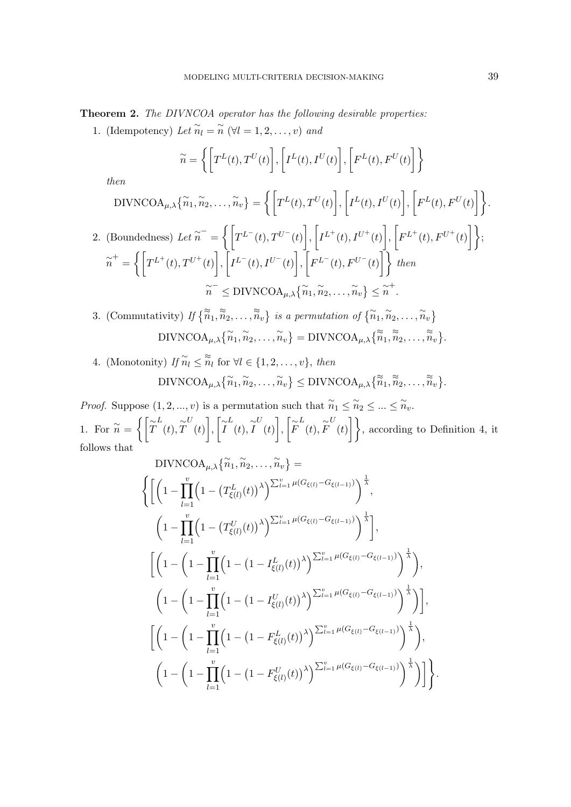Theorem 2. The DIVNCOA operator has the following desirable properties:

1. (Idempotency) Let  $\widetilde{n}_l = \widetilde{n}$  ( $\forall l = 1, 2, ..., v$ ) and

$$
\widetilde{n} = \left\{ \left[ T^{L}(t), T^{U}(t) \right], \left[ I^{L}(t), I^{U}(t) \right], \left[ F^{L}(t), F^{U}(t) \right] \right\}
$$

then

$$
\text{DIVNCOA}_{\mu,\lambda}\{\tilde{n}_1,\tilde{n}_2,\ldots,\tilde{n}_v\} = \left\{ \left[ T^L(t), T^U(t) \right], \left[ I^L(t), I^U(t) \right], \left[ F^L(t), F^U(t) \right] \right\}.
$$
\n
$$
\text{2. (Boundedness) } Let \tilde{n}^- = \left\{ \left[ T^{L^-}(t), T^{U^-}(t) \right], \left[ I^{L^+}(t), I^{U^+}(t) \right], \left[ F^{L^+}(t), F^{U^+}(t) \right] \right\};
$$
\n
$$
\tilde{n}^+ = \left\{ \left[ T^{L^+}(t), T^{U^+}(t) \right], \left[ I^{L^-}(t), I^{U^-}(t) \right], \left[ F^{L^-}(t), F^{U^-}(t) \right] \right\} \text{ then}
$$
\n
$$
\tilde{n}^- \leq \text{DIVNCOA}_{\mu,\lambda} \{\tilde{n}_1, \tilde{n}_2, \ldots, \tilde{n}_v\} \leq \tilde{n}^+.
$$

3. (Commutativity) If  $\{\widetilde{\widetilde{n}}_1, \widetilde{\widetilde{n}}_2, \ldots, \widetilde{\widetilde{n}}_v\}$  is a permutation of  $\{\widetilde{n}_1, \widetilde{n}_2, \ldots, \widetilde{n}_v\}$  $\text{DIVNCOA}_{\mu,\lambda}\{\widetilde{n}_1,\widetilde{n}_2,\ldots,\widetilde{n}_v\} = \text{DIVNCOA}_{\mu,\lambda}\{\widetilde{\widetilde{n}}_1,\widetilde{\widetilde{n}}_2,\ldots,\widetilde{\widetilde{n}}_v\}.$ 

4. (Monotonity) If  $\widetilde{n}_l \leq \widetilde{\widetilde{n}}_l$  for  $\forall l \in \{1, 2, ..., v\}$ , then  $\text{DIVNCOA}_{\mu,\lambda}\{\widetilde{n}_1,\widetilde{n}_2,\ldots,\widetilde{n}_v\}\leq \text{DIVNCOA}_{\mu,\lambda}\{\widetilde{\widetilde{n}}_1,\widetilde{\widetilde{n}}_2,\ldots,\widetilde{\widetilde{n}}_v\}.$ 

*Proof.* Suppose  $(1, 2, ..., v)$  is a permutation such that  $\widetilde{n}_1 \leq \widetilde{n}_2 \leq ... \leq \widetilde{n}_v$ . 1. For  $\widetilde{n} = \left\{ \left[ \widetilde{T} \right]$ L  $(t), \tilde{T}$ U  $(t)$ ,  $\left[\widetilde{I}\right]$ L  $(t), \tilde{I}$ U  $(t)$ ,  $\Big[\widetilde{F}\Big]$ L  $(t), \tilde{F}$ U  $(t)$ , according to Definition 4, it follows that

$$
\text{DIVNCOA}_{\mu,\lambda}\{\tilde{n}_1,\tilde{n}_2,\ldots,\tilde{n}_v\} = \left\{ \left[ \left( 1 - \prod_{l=1}^v \left( 1 - \left( T_{\xi(l)}^L(t) \right)^\lambda \right)^{\sum_{l=1}^v \mu(G_{\xi(l)} - G_{\xi(l-1)})} \right)^{\frac{1}{\lambda}}, \right. \\ \left. \left( 1 - \prod_{l=1}^v \left( 1 - \left( T_{\xi(l)}^U(t) \right)^\lambda \right)^{\sum_{l=1}^v \mu(G_{\xi(l)} - G_{\xi(l-1)})} \right)^{\frac{1}{\lambda}} \right], \\ \left. \left[ \left( 1 - \left( 1 - \prod_{l=1}^v \left( 1 - \left( 1 - I_{\xi(l)}^L(t) \right)^\lambda \right)^{\sum_{l=1}^v \mu(G_{\xi(l)} - G_{\xi(l-1)})} \right)^{\frac{1}{\lambda}} \right), \right. \\ \left. \left. \left( 1 - \left( 1 - \prod_{l=1}^v \left( 1 - \left( 1 - I_{\xi(l)}^U(t) \right)^\lambda \right)^{\sum_{l=1}^v \mu(G_{\xi(l)} - G_{\xi(l-1)})} \right)^{\frac{1}{\lambda}} \right) \right], \\ \left. \left[ \left( 1 - \left( 1 - \prod_{l=1}^v \left( 1 - \left( 1 - F_{\xi(l)}^L(t) \right)^\lambda \right)^{\sum_{l=1}^v \mu(G_{\xi(l)} - G_{\xi(l-1)})} \right)^{\frac{1}{\lambda}} \right), \right. \\ \left. \left. \left( 1 - \left( 1 - \prod_{l=1}^v \left( 1 - \left( 1 - F_{\xi(l)}^U(t) \right)^\lambda \right)^{\sum_{l=1}^v \mu(G_{\xi(l)} - G_{\xi(l-1)})} \right)^{\frac{1}{\lambda}} \right) \right] \right\}.
$$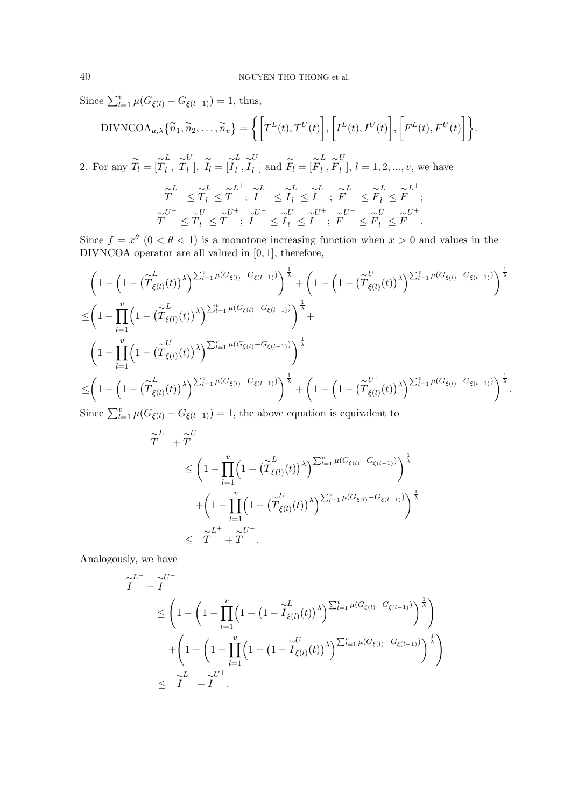Since  $\sum_{l=1}^{v} \mu(G_{\xi(l)} - G_{\xi(l-1)}) = 1$ , thus,

$$
DIVNCOA_{\mu,\lambda}\{\widetilde{n}_1,\widetilde{n}_2,\ldots,\widetilde{n}_v\} = \bigg\{\bigg[T^L(t),T^U(t)\bigg],\bigg[I^L(t),I^U(t)\bigg],\bigg[F^L(t),F^U(t)\bigg]\bigg\}.
$$

2. For any  $\widetilde{T}_l = [\widetilde{T}]$ L  $\frac{L}{l}$ ,  $\widetilde{T}$ U  $\tilde{l}_l$ ,  $\tilde{l}_l = [\tilde{l}]$ L  $\frac{L}{l}, \widetilde{I}$ U  $\begin{bmatrix} U \\ l \end{bmatrix}$  and  $\widetilde{F}_l = [\widetilde{F}]$ L  $\frac{L}{l}$  ,  $\widetilde{F}$ U  $l_l$ ],  $l = 1, 2, ..., v$ , we have

$$
\widetilde{T}^L \leq \widetilde{T}_l \leq \widetilde{T}^L; \ \widetilde{I}^L \leq \widetilde{I}_l^L \leq \widetilde{I}^L; \ \widetilde{F}^L \leq \widetilde{F}_l^L \leq \widetilde{F}^L; \n\widetilde{T}^U \leq \widetilde{T}_l \leq \widetilde{T}^U; \ \widetilde{I}^U \leq \widetilde{I}_l^U \leq \widetilde{I}^U; \ \widetilde{F}^U \leq \widetilde{F}_l^U \leq \widetilde{F}^U; \n\widetilde{T}^U \leq \widetilde{T}_l \leq \widetilde{T}^U; \ \widetilde{I}^U \leq \widetilde{I}_l^U \leq \widetilde{I}^U; \ \widetilde{F}^U \leq \widetilde{F}_l^U \leq \widetilde{F}^U.
$$

Since  $f = x^{\theta}$   $(0 < \theta < 1)$  is a monotone increasing function when  $x > 0$  and values in the DIVNCOA operator are all valued in  $[0, 1]$ , therefore,

$$
\left(1 - \left(1 - \left(\widetilde{T}_{\xi(l)}^{L^-}(t)\right)^{\lambda}\right)^{\sum_{l=1}^{v} \mu(G_{\xi(l)} - G_{\xi(l-1)})}\right)^{\frac{1}{\lambda}} + \left(1 - \left(1 - \left(\widetilde{T}_{\xi(l)}^{U^-}(t)\right)^{\lambda}\right)^{\sum_{l=1}^{v} \mu(G_{\xi(l)} - G_{\xi(l-1)})}\right)^{\frac{1}{\lambda}}
$$
\n
$$
\leq \left(1 - \prod_{l=1}^{v} \left(1 - \left(\widetilde{T}_{\xi(l)}^{L}(t)\right)^{\lambda}\right)^{\sum_{l=1}^{v} \mu(G_{\xi(l)} - G_{\xi(l-1)})}\right)^{\frac{1}{\lambda}} + \left(1 - \left(1 - \left(\widetilde{T}_{\xi(l)}^{U^-}(t)\right)^{\lambda}\right)^{\sum_{l=1}^{v} \mu(G_{\xi(l)} - G_{\xi(l-1)})}\right)^{\frac{1}{\lambda}}
$$
\n
$$
\leq \left(1 - \left(1 - \left(\widetilde{T}_{\xi(l)}^{L^+}(t)\right)^{\lambda}\right)^{\sum_{l=1}^{v} \mu(G_{\xi(l)} - G_{\xi(l-1)})}\right)^{\frac{1}{\lambda}} + \left(1 - \left(1 - \left(\widetilde{T}_{\xi(l)}^{U^+}(t)\right)^{\lambda}\right)^{\sum_{l=1}^{v} \mu(G_{\xi(l)} - G_{\xi(l-1)})}\right)^{\frac{1}{\lambda}}
$$
\n
$$
\text{Since } \sum_{l=1}^{v} \mu(G_{\xi(l)} - G_{\xi(l-1)}) = 1 \text{ the above equation is equivalent to}
$$

Since  $\sum_{l=1}^{v} \mu(G_{\xi(l)} - G_{\xi(l-1)}) = 1$ , the above equation is equivalent to

$$
\widetilde{T}^{L^{-}} + \widetilde{T}^{U^{-}}\n\leq \left(1 - \prod_{l=1}^{v} \left(1 - (\widetilde{T}_{\xi(l)}^{L}(t))^{\lambda}\right)^{\sum_{l=1}^{v} \mu(G_{\xi(l)} - G_{\xi(l-1)})}\right)^{\frac{1}{\lambda}} + \left(1 - \prod_{l=1}^{v} \left(1 - (\widetilde{T}_{\xi(l)}^{U}(t))^{\lambda}\right)^{\sum_{l=1}^{v} \mu(G_{\xi(l)} - G_{\xi(l-1)})}\right)^{\frac{1}{\lambda}}\n\leq \widetilde{T}^{L^{+}} + \widetilde{T}^{U^{+}}.
$$

Analogously, we have

$$
\widetilde{I}^{L^{-}} + \widetilde{I}^{U^{-}}\n\leq \left(1 - \left(1 - \prod_{l=1}^{v} \left(1 - \left(1 - \widetilde{I}_{\xi(l)}^{L}(t)\right)^{\lambda}\right)^{\sum_{l=1}^{v} \mu(G_{\xi(l)} - G_{\xi(l-1)})}\right)^{\frac{1}{\lambda}}\right) + \left(1 - \left(1 - \prod_{l=1}^{v} \left(1 - \left(1 - \widetilde{I}_{\xi(l)}^{U}(t)\right)^{\lambda}\right)^{\sum_{l=1}^{v} \mu(G_{\xi(l)} - G_{\xi(l-1)})}\right)^{\frac{1}{\lambda}}\right) \leq \widetilde{I}^{L^{+}} + \widetilde{I}^{U^{+}}.
$$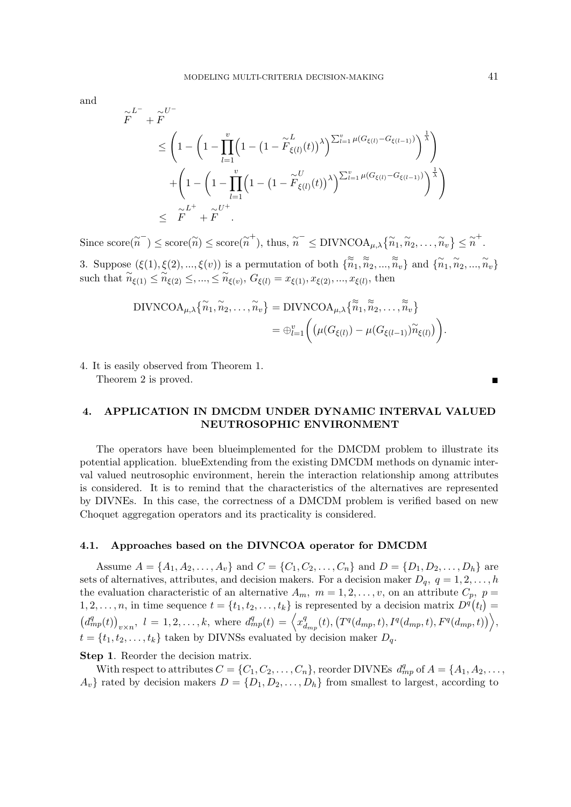and

$$
\widetilde{F}^{L^-} + \widetilde{F}^{U^-}
$$
\n
$$
\leq \left(1 - \left(1 - \prod_{l=1}^v \left(1 - \left(1 - \widetilde{F}_{\xi(l)}^L(t)\right)^{\lambda}\right)^{\sum_{l=1}^v \mu(G_{\xi(l)} - G_{\xi(l-1)})}\right)^{\frac{1}{\lambda}}\right)
$$
\n
$$
+ \left(1 - \left(1 - \prod_{l=1}^v \left(1 - \left(1 - \widetilde{F}_{\xi(l)}^U(t)\right)^{\lambda}\right)^{\sum_{l=1}^v \mu(G_{\xi(l)} - G_{\xi(l-1)})}\right)^{\frac{1}{\lambda}}\right)
$$
\n
$$
\leq \widetilde{F}^{L^+} + \widetilde{F}^{U^+}.
$$

Since  $\text{score}(\tilde{n}) \leq \text{score}(\tilde{n}) \leq \text{score}(\tilde{n}^+), \text{ thus, } \tilde{n}^- \leq \text{DIVNCOA}_{\mu,\lambda}\{\tilde{n}_1, \tilde{n}_2, \ldots, \tilde{n}_v\} \leq \tilde{n}^+.$ 

3. Suppose  $(\xi(1), \xi(2), ..., \xi(v))$  is a permutation of both  $\{\widetilde{\tilde{n}}_1, \widetilde{\tilde{n}}_2, ..., \widetilde{\tilde{n}}_v\}$  and  $\{\widetilde{n}_1, \widetilde{n}_2, ..., \widetilde{n}_v\}$ such that  $\widetilde{n}_{\xi(1)} \leq \widetilde{n}_{\xi(2)} \leq, ..., \leq \widetilde{n}_{\xi(v)}, G_{\xi(l)} = x_{\xi(1)}, x_{\xi(2)}, ..., x_{\xi(l)},$  then

$$
\text{DIVNCOA}_{\mu,\lambda}\big\{\widetilde{n}_1,\widetilde{n}_2,\ldots,\widetilde{n}_v\big\} = \text{DIVNCOA}_{\mu,\lambda}\big\{\widetilde{\widetilde{n}}_1,\widetilde{\widetilde{n}}_2,\ldots,\widetilde{\widetilde{n}}_v\big\} = \bigoplus_{l=1}^v \bigg(\big(\mu(G_{\xi(l)}) - \mu(G_{\xi(l-1)})\widetilde{n}_{\xi(l)}\big)\bigg).
$$

4. It is easily observed from Theorem 1.

Theorem 2 is proved.

## 4. APPLICATION IN DMCDM UNDER DYNAMIC INTERVAL VALUED NEUTROSOPHIC ENVIRONMENT

The operators have been blueimplemented for the DMCDM problem to illustrate its potential application. blueExtending from the existing DMCDM methods on dynamic interval valued neutrosophic environment, herein the interaction relationship among attributes is considered. It is to remind that the characteristics of the alternatives are represented by DIVNEs. In this case, the correctness of a DMCDM problem is verified based on new Choquet aggregation operators and its practicality is considered.

### 4.1. Approaches based on the DIVNCOA operator for DMCDM

Assume  $A = \{A_1, A_2, \ldots, A_v\}$  and  $C = \{C_1, C_2, \ldots, C_n\}$  and  $D = \{D_1, D_2, \ldots, D_h\}$  are sets of alternatives, attributes, and decision makers. For a decision maker  $D_q$ ,  $q = 1, 2, \ldots, h$ the evaluation characteristic of an alternative  $A_m$ ,  $m = 1, 2, \ldots, v$ , on an attribute  $C_p$ ,  $p =$  $1, 2, \ldots, n$ , in time sequence  $t = \{t_1, t_2, \ldots, t_k\}$  is represented by a decision matrix  $D^q(t_l) =$  $\left(d_{mp}^{q}(t)\right)_{v\times n}, l = 1, 2, \ldots, k$ , where  $d_{mp}^{q}(t) = \left\langle x_{d}^{q}\right\rangle$  $\left\{ \frac{q}{d_{mp}}(t),\left( T^{q}(d_{mp},t),I^{q}(d_{mp},t),F^{q}(d_{mp},t)\right) \right\} ,$  $t = \{t_1, t_2, \ldots, t_k\}$  taken by DIVNSs evaluated by decision maker  $D_q$ .

Step 1. Reorder the decision matrix.

With respect to attributes  $C = \{C_1, C_2, \ldots, C_n\}$ , reorder DIVNEs  $d_{mp}^q$  of  $A = \{A_1, A_2, \ldots, A_n\}$  $A_v$  rated by decision makers  $D = \{D_1, D_2, \ldots, D_h\}$  from smallest to largest, according to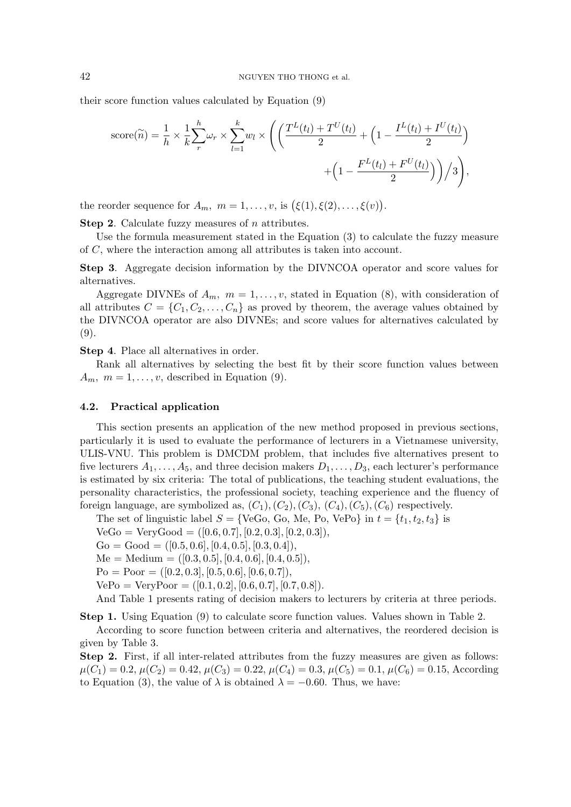their score function values calculated by Equation (9)

score(
$$
\tilde{n}
$$
) =  $\frac{1}{h} \times \frac{1}{k} \sum_{r}^{h} \omega_r \times \sum_{l=1}^{k} w_l \times \left( \left( \frac{T^L(t_l) + T^U(t_l)}{2} + \left( 1 - \frac{I^L(t_l) + I^U(t_l)}{2} \right) + \left( 1 - \frac{F^L(t_l) + F^U(t_l)}{2} \right) \right) / 3 \right),$ 

the reorder sequence for  $A_m$ ,  $m = 1, \ldots, v$ , is  $(\xi(1), \xi(2), \ldots, \xi(v)).$ 

Step 2. Calculate fuzzy measures of *n* attributes.

Use the formula measurement stated in the Equation (3) to calculate the fuzzy measure of C, where the interaction among all attributes is taken into account.

Step 3. Aggregate decision information by the DIVNCOA operator and score values for alternatives.

Aggregate DIVNEs of  $A_m$ ,  $m = 1, \ldots, v$ , stated in Equation (8), with consideration of all attributes  $C = \{C_1, C_2, \ldots, C_n\}$  as proved by theorem, the average values obtained by the DIVNCOA operator are also DIVNEs; and score values for alternatives calculated by (9).

Step 4. Place all alternatives in order.

Rank all alternatives by selecting the best fit by their score function values between  $A_m$ ,  $m = 1, \ldots, v$ , described in Equation (9).

### 4.2. Practical application

This section presents an application of the new method proposed in previous sections, particularly it is used to evaluate the performance of lecturers in a Vietnamese university, ULIS-VNU. This problem is DMCDM problem, that includes five alternatives present to five lecturers  $A_1, \ldots, A_5$ , and three decision makers  $D_1, \ldots, D_3$ , each lecturer's performance is estimated by six criteria: The total of publications, the teaching student evaluations, the personality characteristics, the professional society, teaching experience and the fluency of foreign language, are symbolized as,  $(C_1), (C_2), (C_3), (C_4), (C_5), (C_6)$  respectively.

The set of linguistic label  $S = \{ \text{VeGo}, \text{Go}, \text{Me}, \text{Po}, \text{VePo} \}$  in  $t = \{t_1, t_2, t_3\}$  is

 $VeGo = VeryGood = ([0.6, 0.7], [0.2, 0.3], [0.2, 0.3]),$ 

 $Go = Good = ([0.5, 0.6], [0.4, 0.5], [0.3, 0.4]),$ 

 $Me = Medium = ([0.3, 0.5], [0.4, 0.6], [0.4, 0.5]),$ 

 $Po = Poor = ([0.2, 0.3], [0.5, 0.6], [0.6, 0.7]),$ 

 $VePo = VeryPoor = ([0.1, 0.2], [0.6, 0.7], [0.7, 0.8]).$ 

And Table 1 presents rating of decision makers to lecturers by criteria at three periods.

Step 1. Using Equation (9) to calculate score function values. Values shown in Table 2.

According to score function between criteria and alternatives, the reordered decision is given by Table 3.

Step 2. First, if all inter-related attributes from the fuzzy measures are given as follows:  $\mu(C_1) = 0.2, \mu(C_2) = 0.42, \mu(C_3) = 0.22, \mu(C_4) = 0.3, \mu(C_5) = 0.1, \mu(C_6) = 0.15$ , According to Equation (3), the value of  $\lambda$  is obtained  $\lambda = -0.60$ . Thus, we have: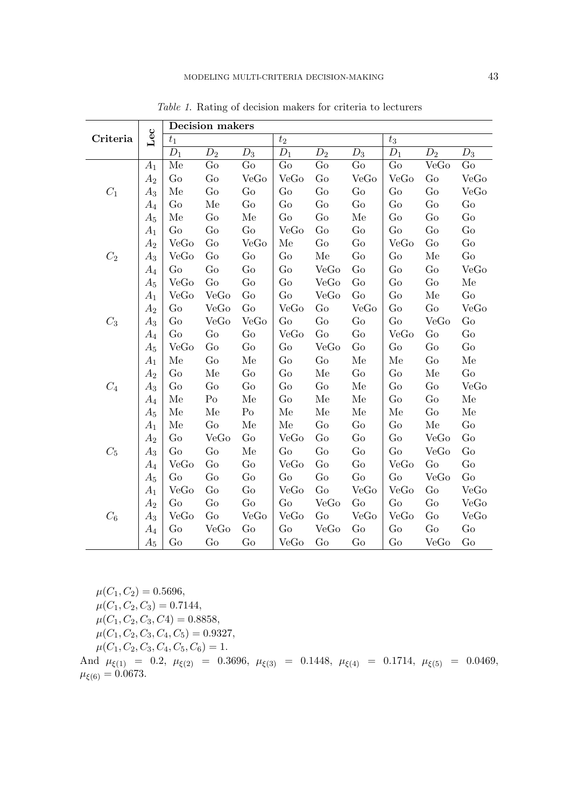|                 |         | <b>Decision makers</b> |                |                  |              |                  |                  |                  |                  |       |
|-----------------|---------|------------------------|----------------|------------------|--------------|------------------|------------------|------------------|------------------|-------|
| Criteria        | Lec     | $t_1$                  |                |                  | $t_2\,$      |                  |                  | $t_3$            |                  |       |
|                 |         | $D_1$                  | $D_2$          | $\overline{D}_3$ | $D_1$        | $\overline{D}_2$ | $\overline{D}_3$ | $\overline{D_1}$ | $\overline{D}_2$ | $D_3$ |
|                 | $A_1$   | Me                     | Go             | Go               | Go           | Go               | Go               | Go               | VeGo             | Go    |
|                 | $A_2$   | Go                     | Go             | VeGo             | VeGo         | Go               | VeGo             | VeGo             | Go               | VeGo  |
| $C_1$           | $A_3$   | Me                     | Go             | Go               | Go           | Go               | Go               | Go               | Go               | VeGo  |
|                 | $A_4$   | Go                     | Me             | Go               | Go           | Go               | Go               | Go               | Go               | Go    |
|                 | $A_5$   | Me                     | Go             | Me               | Go           | Go               | Me               | Go               | Go               | Go    |
|                 | $A_1$   | Go                     | Go             | Go               | VeGo         | Go               | Go               | Go               | Go               | Go    |
|                 | $A_2$   | VeGo                   | Go             | VeGo             | Me           | Go               | Go               | VeGo             | Go               | Go    |
| $C_2$           | $A_3$   | VeGo                   | Go             | Go               | Go           | Me               | Go               | Go               | Me               | Go    |
|                 | $A_4$   | Go                     | Go             | Go               | Go           | VeGo             | Go               | Go               | Go               | VeGo  |
|                 | $A_5$   | VeGo                   | Go             | Go               | Go           | VeGo             | Go               | Go               | Go               | Me    |
|                 | $A_1$   | VeGo                   | VeGo           | Go               | Go           | VeGo             | Go               | Go               | Me               | Go    |
|                 | $A_2$   | Go                     | VeGo           | Go               | VeGo         | Go               | VeGo             | Go               | Go               | VeGo  |
| $C_3$           | $A_3$   | Go                     | VeGo           | VeGo             | Go           | Go               | Go               | Go               | VeGo             | Go    |
|                 | $A_4$   | Go                     | Go             | Go               | VeGo         | Go               | Go               | VeGo             | Go               | Go    |
|                 | $A_5$   | VeGo                   | Go             | Go               | Go           | VeGo             | Go               | Go               | Go               | Go    |
|                 | $A_1$   | Me                     | Go             | Me               | Go           | Go               | Me               | Me               | Go               | Me    |
|                 | $A_2$   | $_{\rm Go}$            | Me             | Go               | Go           | Me               | Go               | Go               | Me               | Go    |
| $C_4$           | $A_3$   | Go                     | Go             | Go               | Go           | Go               | Me               | Go               | Go               | VeGo  |
|                 | $A_4$   | Me                     | P <sub>o</sub> | Me               | Go           | Me               | Me               | Go               | Go               | Me    |
|                 | $A_5$   | Me                     | Me             | P <sub>O</sub>   | Me           | Me               | Me               | Me               | Go               | Me    |
|                 | $A_1$   | Me                     | Go             | Me               | Me           | Go               | Go               | Go               | Me               | Go    |
|                 | $A_2$   | Go                     | VeGo           | Go               | ${\rm VeGo}$ | Go               | Go               | Go               | VeGo             | Go    |
| $\mathcal{C}_5$ | $A_3$   | Go                     | Go             | Me               | Go           | Go               | Go               | Go               | VeGo             | Go    |
|                 | $A_4$   | VeGo                   | Go             | Go               | VeGo         | Go               | Go               | VeGo             | Go               | Go    |
|                 | $A_5\,$ | Go                     | Go             | Go               | Go           | Go               | Go               | Go               | VeGo             | Go    |
|                 | $A_1$   | VeGo                   | Go             | Go               | <b>VeGo</b>  | Go               | VeGo             | VeGo             | Go               | VeGo  |
|                 | $A_2$   | Go                     | Go             | Go               | Go           | VeGo             | Go               | Go               | $\rm Go$         | VeGo  |
| $C_6$           | $A_3$   | VeGo                   | Go             | VeGo             | VeGo         | Go               | VeGo             | VeGo             | Go               | VeGo  |
|                 | $A_4\,$ | Go                     | VeGo           | Go               | Go           | VeGo             | Go               | Go               | Go               | Go    |
|                 | $A_5$   | Go                     | Go             | Go               | $\rm VeGo$   | Go               | Go               | Go               | VeGo             | Go    |

Table 1. Rating of decision makers for criteria to lecturers

 $\mu(C_1, C_2) = 0.5696,$  $\mu(C_1, C_2, C_3) = 0.7144,$ 

 $\mu(C_1, C_2, C_3, C_4) = 0.8858,$ 

 $\mu(C_1, C_2, C_3, C_4, C_5) = 0.9327,$ 

 $\mu(C_1, C_2, C_3, C_4, C_5, C_6) = 1.$ 

And  $\mu_{\xi(1)} = 0.2$ ,  $\mu_{\xi(2)} = 0.3696$ ,  $\mu_{\xi(3)} = 0.1448$ ,  $\mu_{\xi(4)} = 0.1714$ ,  $\mu_{\xi(5)} = 0.0469$ ,  $\mu_{\xi(6)} = 0.0673.$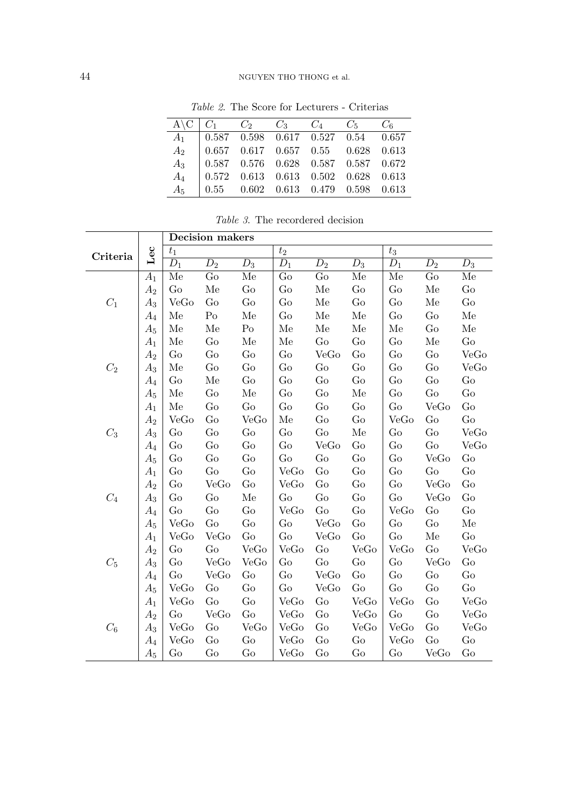## 44 NGUYEN THO THONG et al.

| $A \ C \ C_1 \ C_2 \ C_3 \ C_4 \ C_5 \ C_6$ |  |  |  |
|---------------------------------------------|--|--|--|
| $A_1$   0.587 0.598 0.617 0.527 0.54 0.657  |  |  |  |
| $A_2$   0.657 0.617 0.657 0.55 0.628 0.613  |  |  |  |
| $A_3$   0.587 0.576 0.628 0.587 0.587 0.672 |  |  |  |
| $A_4$   0.572 0.613 0.613 0.502 0.628 0.613 |  |  |  |
| $A_5$   0.55 0.602 0.613 0.479 0.598 0.613  |  |  |  |

Table 2. The Score for Lecturers - Criterias

|  |  | <i>Table 3.</i> The recordered decision |  |
|--|--|-----------------------------------------|--|
|--|--|-----------------------------------------|--|

|                 |                    | Decision makers |                  |                |       |                  |                  |                                          |       |       |
|-----------------|--------------------|-----------------|------------------|----------------|-------|------------------|------------------|------------------------------------------|-------|-------|
| Criteria        | $\rm{Lec}$         | $t_{\rm 1}$     |                  |                | $t_2$ |                  |                  | $t_{3}% \sqrt{t_{1}}\left( x_{1}\right)$ |       |       |
|                 |                    | $D_1$           | $\overline{D}_2$ | $D_3$          | $D_1$ | $\overline{D}_2$ | $\overline{D}_3$ | $D_1$                                    | $D_2$ | $D_3$ |
|                 | $A_1$              | Me              | Go               | Me             | Go    | Go               | Me               | Me                                       | Go    | Me    |
|                 | $A_2$              | Go              | Me               | Go             | Go    | Me               | Go               | Go                                       | Me    | Go    |
| $C_1$           | $A_3$              | VeGo            | Go               | Go             | Go    | Me               | Go               | Go                                       | Me    | Go    |
|                 | $A_4\,$            | Me              | P <sub>O</sub>   | Me             | Go    | Me               | Me               | Go                                       | Go    | Me    |
|                 | $A_5$              | Me              | Me               | P <sub>O</sub> | Me    | Me               | Me               | Me                                       | Go    | Me    |
|                 | $\mathcal{A}_1$    | Me              | Go               | Me             | Me    | Go               | Go               | Go                                       | Me    | Go    |
|                 | $A_2$              | Go              | Go               | Go             | Go    | VeGo             | Go               | Go                                       | Go    | VeGo  |
| $C_2$           | $\scriptstyle A_3$ | Me              | Go               | Go             | Go    | Go               | Go               | Go                                       | Go    | VeGo  |
|                 | $A_4$              | Go              | Me               | Go             | Go    | Go               | Go               | Go                                       | Go    | Go    |
|                 | $A_5$              | Me              | Go               | Me             | Go    | Go               | Me               | Go                                       | Go    | Go    |
|                 | $A_1$              | Me              | Go               | Go             | Go    | Go               | Go               | Go                                       | VeGo  | Go    |
|                 | $A_2$              | VeGo            | Go               | VeGo           | Me    | Go               | Go               | VeGo                                     | Go    | Go    |
| $C_3$           | $A_3$              | Go              | Go               | Go             | Go    | Go               | Me               | Go                                       | Go    | VeGo  |
|                 | $A_4$              | Go              | Go               | Go             | Go    | VeGo             | Go               | Go                                       | Go    | VeGo  |
|                 | $A_5$              | Go              | Go               | Go             | Go    | Go               | Go               | Go                                       | VeGo  | Go    |
|                 | $A_1$              | Go              | Go               | Go             | VeGo  | Go               | Go               | Go                                       | Go    | Go    |
|                 | $A_2$              | Go              | VeGo             | Go             | VeGo  | Go               | Go               | Go                                       | VeGo  | Go    |
| $\mathcal{C}_4$ | $A_3$              | Go              | Go               | Me             | Go    | Go               | Go               | Go                                       | VeGo  | Go    |
|                 | $A_4\,$            | Go              | Go               | Go             | VeGo  | Go               | Go               | VeGo                                     | Go    | Go    |
|                 | $A_5$              | VeGo            | Go               | Go             | Go    | VeGo             | Go               | Go                                       | Go    | Me    |
|                 | $A_1$              | VeGo            | VeGo             | Go             | Go    | VeGo             | Go               | Go                                       | Me    | Go    |
|                 | $A_2$              | Go              | Go               | VeGo           | VeGo  | Go               | VeGo             | VeGo                                     | Go    | VeGo  |
| $C_5$           | $A_3$              | Go              | VeGo             | VeGo           | Go    | Go               | Go               | Go                                       | VeGo  | Go    |
|                 | $A_4$              | Go              | VeGo             | Go             | Go    | VeGo             | Go               | Go                                       | Go    | Go    |
|                 | $A_5$              | VeGo            | Go               | Go             | Go    | VeGo             | Go               | Go                                       | Go    | Go    |
|                 | $A_1$              | VeGo            | Go               | Go             | VeGo  | Go               | VeGo             | VeGo                                     | Go    | VeGo  |
|                 | $A_2$              | Go              | VeGo             | Go             | VeGo  | Go               | VeGo             | Go                                       | Go    | VeGo  |
| $C_6$           | $A_3$              | VeGo            | Go               | VeGo           | VeGo  | Go               | VeGo             | VeGo                                     | Go    | VeGo  |
|                 | $A_4$              | VeGo            | Go               | Go             | VeGo  | Go               | Go               | VeGo                                     | Go    | Go    |
|                 | $A_5\,$            | Go              | Go               | Go             | VeGo  | Go               | Go               | Go                                       | VeGo  | Go    |

 $\overline{a}$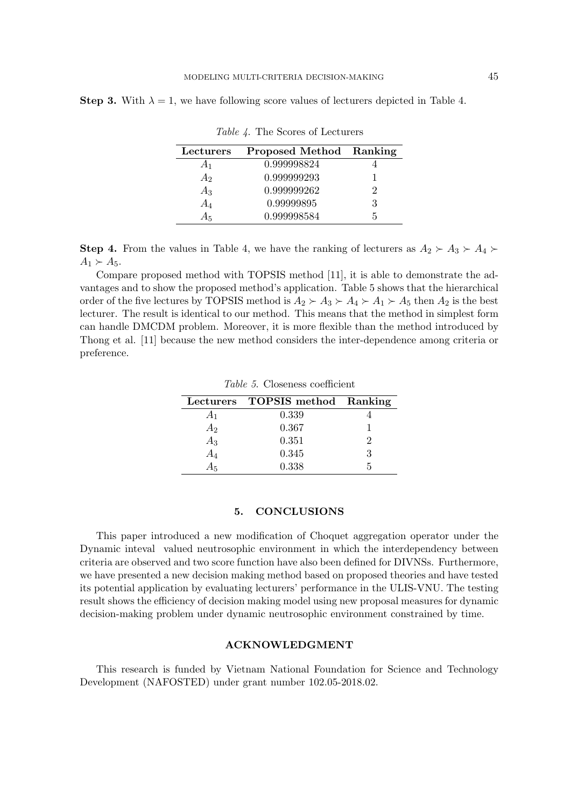**Step 3.** With  $\lambda = 1$ , we have following score values of lecturers depicted in Table 4.

| Lecturers | Proposed Method Ranking |    |
|-----------|-------------------------|----|
| A1        | 0.999998824             |    |
| А,        | 0.999999293             |    |
| $A_3$     | 0.999999262             | '2 |
| $A_4$     | 0.99999895              | З  |
| А5        | 0.999998584             |    |

Table 4. The Scores of Lecturers

**Step 4.** From the values in Table 4, we have the ranking of lecturers as  $A_2 \succ A_3 \succ A_4 \succ$  $A_1 \succ A_5$ .

Compare proposed method with TOPSIS method [11], it is able to demonstrate the advantages and to show the proposed method's application. Table 5 shows that the hierarchical order of the five lectures by TOPSIS method is  $A_2 \succ A_3 \succ A_4 \succ A_1 \succ A_5$  then  $A_2$  is the best lecturer. The result is identical to our method. This means that the method in simplest form can handle DMCDM problem. Moreover, it is more flexible than the method introduced by Thong et al. [11] because the new method considers the inter-dependence among criteria or preference.

|         | Lecturers TOPSIS method Ranking |  |
|---------|---------------------------------|--|
| $A_1$   | 0.339                           |  |
| $A_2\,$ | 0.367                           |  |
| $A_3\,$ | 0.351                           |  |
| A4      | 0.345                           |  |
| Α5      | 0.338                           |  |

Table 5. Closeness coefficient

### 5. CONCLUSIONS

This paper introduced a new modification of Choquet aggregation operator under the Dynamic inteval valued neutrosophic environment in which the interdependency between criteria are observed and two score function have also been defined for DIVNSs. Furthermore, we have presented a new decision making method based on proposed theories and have tested its potential application by evaluating lecturers' performance in the ULIS-VNU. The testing result shows the efficiency of decision making model using new proposal measures for dynamic decision-making problem under dynamic neutrosophic environment constrained by time.

### ACKNOWLEDGMENT

This research is funded by Vietnam National Foundation for Science and Technology Development (NAFOSTED) under grant number 102.05-2018.02.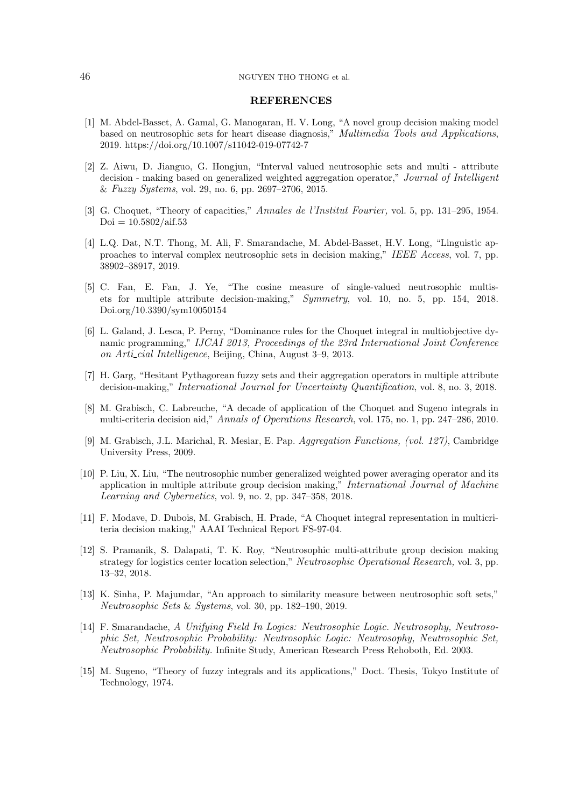#### 46 NGUYEN THO THONG et al.

#### REFERENCES

- [1] M. Abdel-Basset, A. Gamal, G. Manogaran, H. V. Long, "A novel group decision making model based on neutrosophic sets for heart disease diagnosis," Multimedia Tools and Applications, 2019. https://doi.org/10.1007/s11042-019-07742-7
- <span id="page-13-0"></span>[2] Z. Aiwu, D. Jianguo, G. Hongjun, "Interval valued neutrosophic sets and multi - attribute decision - making based on generalized weighted aggregation operator," Journal of Intelligent & Fuzzy Systems, vol. 29, no. 6, pp. 2697–2706, 2015.
- <span id="page-13-7"></span>[3] G. Choquet, "Theory of capacities," Annales de l'Institut Fourier, vol. 5, pp. 131–295, 1954.  $Doi = 10.5802/aif.53$
- [4] L.Q. Dat, N.T. Thong, M. Ali, F. Smarandache, M. Abdel-Basset, H.V. Long, "Linguistic approaches to interval complex neutrosophic sets in decision making," IEEE Access, vol. 7, pp. 38902–38917, 2019.
- <span id="page-13-1"></span>[5] C. Fan, E. Fan, J. Ye, "The cosine measure of single-valued neutrosophic multisets for multiple attribute decision-making," Symmetry, vol. 10, no. 5, pp. 154, 2018. Doi.org/10.3390/sym10050154
- <span id="page-13-6"></span>[6] L. Galand, J. Lesca, P. Perny, "Dominance rules for the Choquet integral in multiobjective dynamic programming," IJCAI 2013, Proceedings of the 23rd International Joint Conference on Arti cial Intelligence, Beijing, China, August 3–9, 2013.
- <span id="page-13-3"></span>[7] H. Garg, "Hesitant Pythagorean fuzzy sets and their aggregation operators in multiple attribute decision-making," International Journal for Uncertainty Quantification, vol. 8, no. 3, 2018.
- <span id="page-13-4"></span>[8] M. Grabisch, C. Labreuche, "A decade of application of the Choquet and Sugeno integrals in multi-criteria decision aid," Annals of Operations Research, vol. 175, no. 1, pp. 247–286, 2010.
- <span id="page-13-5"></span>[9] M. Grabisch, J.L. Marichal, R. Mesiar, E. Pap. Aggregation Functions, (vol. 127), Cambridge University Press, 2009.
- [10] P. Liu, X. Liu, "The neutrosophic number generalized weighted power averaging operator and its application in multiple attribute group decision making," International Journal of Machine Learning and Cybernetics, vol. 9, no. 2, pp. 347–358, 2018.
- <span id="page-13-2"></span>[11] F. Modave, D. Dubois, M. Grabisch, H. Prade, "A Choquet integral representation in multicriteria decision making," AAAI Technical Report FS-97-04.
- [12] S. Pramanik, S. Dalapati, T. K. Roy, "Neutrosophic multi-attribute group decision making strategy for logistics center location selection," Neutrosophic Operational Research, vol. 3, pp. 13–32, 2018.
- [13] K. Sinha, P. Majumdar, "An approach to similarity measure between neutrosophic soft sets," Neutrosophic Sets & Systems, vol. 30, pp. 182–190, 2019.
- [14] F. Smarandache, A Unifying Field In Logics: Neutrosophic Logic. Neutrosophy, Neutrosophic Set, Neutrosophic Probability: Neutrosophic Logic: Neutrosophy, Neutrosophic Set, Neutrosophic Probability. Infinite Study, American Research Press Rehoboth, Ed. 2003.
- <span id="page-13-8"></span>[15] M. Sugeno, "Theory of fuzzy integrals and its applications," Doct. Thesis, Tokyo Institute of Technology, 1974.